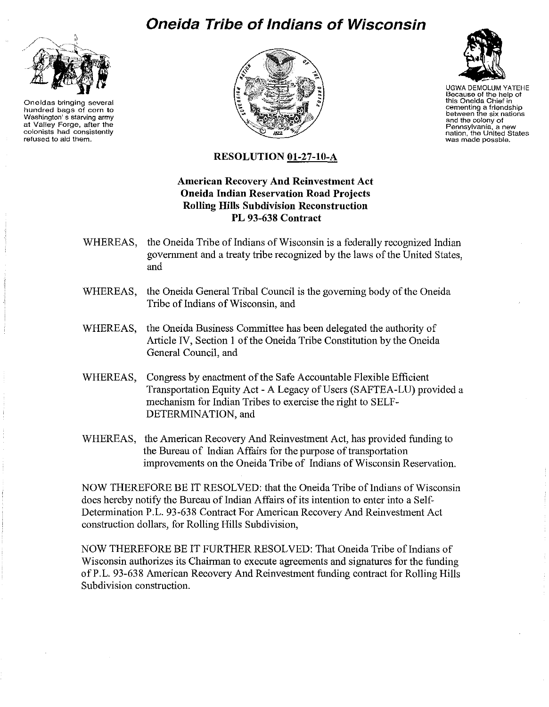## **Oneida Tribe of Indians of Wisconsin**



**Oneidas bringing several hundred bags of corn to Washington's starving army at Valley Forge, after the colonists had consistently refused to aid them.**





UGWA DEMOLUM YATEHE **Because of the help of this Oneida Chief in cementing a friendship between the six nations and the colony of Pennsylvania, a new nation, the United States was made** posable.

## **RESOLUTION Ol-27-10-A**

## **American Recovery And Reinvestment Act Oneida Indian Reservation Road Projects Rolling Hills Subdivision Recoustruction PL 93-638 Contract**

- WHEREAS, the Oneida Tribe of Indians of Wisconsin is a federally recognized Indian government and a treaty tribe recognized by the laws of the United States, and
- WHEREAS, the Oneida General Tribal Council is the governing body of the Oneida Tribe of Indians of Wisconsin, and
- WHEREAS, the Oneida Business Committee has been delegated the authority of Article IV, Section 1 of the Oneida Tribe Constitution by the Oneida General Council, and
- WHEREAS, Congress by enactment of the Safe Accountable Flexible Efficient Transportation Equity Act - A Legacy of Users (SAFTEA-LU) provided a mechanism for Indian Tribes to exercise the right to SELF-DETERMINATION, and
- WHEREAS, the American Recovery And Reinvestment Act, has provided funding to the Bureau of Indian Affairs for the purpose of transportation improvements on the Oneida Tribe of Indians of Wisconsin Reservation.

NOW THEREFORE BE IT RESOLVED: that the Oneida Tribe of Indians of Wisconsin does hereby notify the Bureau of Indian Affairs of its intention to enter into a Self-Determination P.L. 93-638 Contract For American Recovery And Reinvestment Act construction dollars, for Rolling Hills Subdivision,

NOW THEREFORE BE IT FURTHER RESOLVED: That Oneida Tribe of Indians of Wisconsin authorizes its Chairman to execute agreements and signatures for the funding ofP.L. 93-638 American Recovery And Reinvestment funding contract for Rolling Hills Subdivision construction.